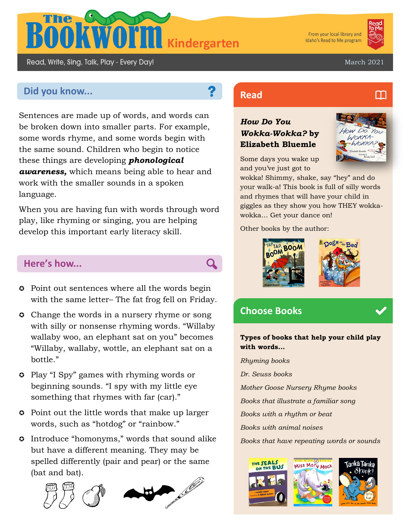

From your local library and Idaho's Read to Me program



March 2021

# **Did you know... Read Read**

Read, Write, Sing, Talk, Play - Every Day!

Sentences are made up of words, and words can be broken down into smaller parts. For example, some words rhyme, and some words begin with the same sound. Children who begin to notice these things are developing *phonological awareness,* which means being able to hear and work with the smaller sounds in a spoken language.

When you are having fun with words through word play, like rhyming or singing, you are helping develop this important early literacy skill.

### **Here's how...**

- $\circ$  Point out sentences where all the words begin with the same letter– The fat frog fell on Friday.
- **Change the words in a nursery rhyme or song** with silly or nonsense rhyming words. "Willaby wallaby woo, an elephant sat on you" becomes "Willaby, wallaby, wottle, an elephant sat on a bottle."
- Play "I Spy" games with rhyming words or beginning sounds. "I spy with my little eye something that rhymes with far (car)."
- Point out the little words that make up larger words, such as "hotdog" or "rainbow."
- Introduce "homonyms," words that sound alike but have a different meaning. They may be spelled differently (pair and pear) or the same (bat and bat).





### *How Do You Wokka-Wokka?* **by Elizabeth Bluemle**



Some days you wake up and you've just got to

wokka! Shimmy, shake, say "hey" and do your walk-a! This book is full of silly words and rhymes that will have your child in giggles as they show you how THEY wokkawokka… Get your dance on!

Other books by the author:





## **Choose Books**

Q

**Types of books that help your child play with words...**

*Rhyming books Dr. Seuss books Mother Goose Nursery Rhyme books Books that illustrate a familiar song Books with a rhythm or beat Books with animal noises Books that have repeating words or sounds*



## m